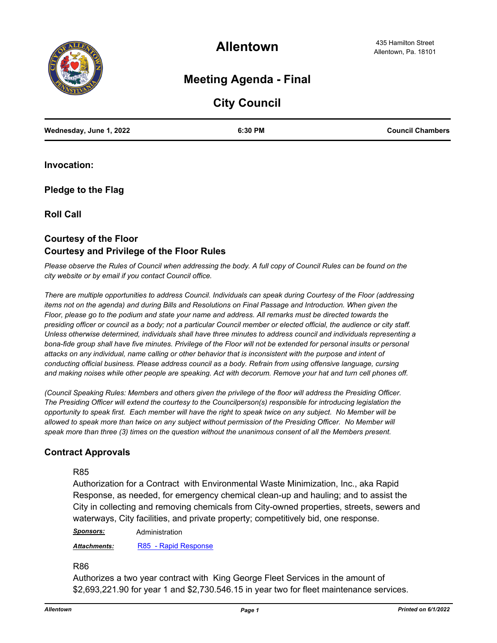

**Allentown**

# **Meeting Agenda - Final**

# **City Council**

| Wednesday, June 1, 2022 | 6:30 PM | <b>Council Chambers</b> |
|-------------------------|---------|-------------------------|
|                         |         |                         |

**Invocation:**

**Pledge to the Flag**

**Roll Call**

# **Courtesy of the Floor Courtesy and Privilege of the Floor Rules**

*Please observe the Rules of Council when addressing the body. A full copy of Council Rules can be found on the city website or by email if you contact Council office.* 

*There are multiple opportunities to address Council. Individuals can speak during Courtesy of the Floor (addressing items not on the agenda) and during Bills and Resolutions on Final Passage and Introduction. When given the Floor, please go to the podium and state your name and address. All remarks must be directed towards the presiding officer or council as a body; not a particular Council member or elected official, the audience or city staff. Unless otherwise determined, individuals shall have three minutes to address council and individuals representing a*  bona-fide group shall have five minutes. Privilege of the Floor will not be extended for personal insults or personal *attacks on any individual, name calling or other behavior that is inconsistent with the purpose and intent of conducting official business. Please address council as a body. Refrain from using offensive language, cursing and making noises while other people are speaking. Act with decorum. Remove your hat and turn cell phones off.* 

*(Council Speaking Rules: Members and others given the privilege of the floor will address the Presiding Officer. The Presiding Officer will extend the courtesy to the Councilperson(s) responsible for introducing legislation the opportunity to speak first. Each member will have the right to speak twice on any subject. No Member will be*  allowed to speak more than twice on any subject without permission of the Presiding Officer. No Member will *speak more than three (3) times on the question without the unanimous consent of all the Members present.*

# **Contract Approvals**

#### R85

Authorization for a Contract with Environmental Waste Minimization, Inc., aka Rapid Response, as needed, for emergency chemical clean-up and hauling; and to assist the City in collecting and removing chemicals from City-owned properties, streets, sewers and waterways, City facilities, and private property; competitively bid, one response.

*Sponsors:* Administration

*Attachments:* [R85 - Rapid Response](http://allentownpa.legistar.com/gateway.aspx?M=F&ID=2d6904e7-4a38-40a9-9bf6-b87bc88cab18.docx)

#### R86

Authorizes a two year contract with King George Fleet Services in the amount of \$2,693,221.90 for year 1 and \$2,730.546.15 in year two for fleet maintenance services.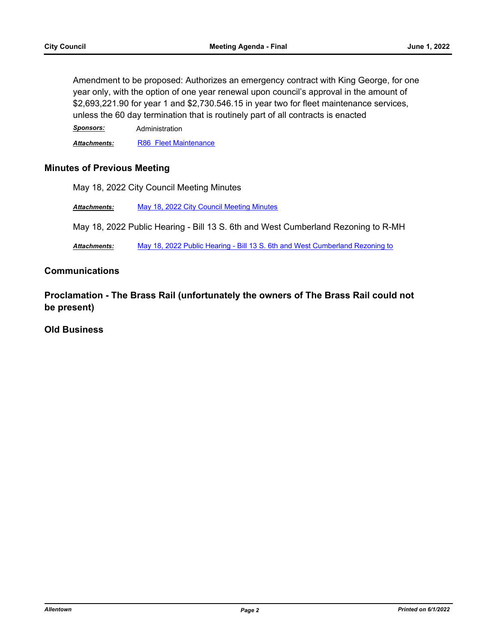Amendment to be proposed: Authorizes an emergency contract with King George, for one year only, with the option of one year renewal upon council's approval in the amount of \$2,693,221.90 for year 1 and \$2,730.546.15 in year two for fleet maintenance services, unless the 60 day termination that is routinely part of all contracts is enacted

*Sponsors:* Administration

Attachments: [R86 Fleet Maintenance](http://allentownpa.legistar.com/gateway.aspx?M=F&ID=2430497e-4f33-4589-a63c-a845502c9f83.docx)

## **Minutes of Previous Meeting**

May 18, 2022 City Council Meeting Minutes

*Attachments:* [May 18, 2022 City Council Meeting Minutes](http://allentownpa.legistar.com/gateway.aspx?M=F&ID=65e401ee-2ed1-4059-bc54-a5ffa4594ae8.pdf)

May 18, 2022 Public Hearing - Bill 13 S. 6th and West Cumberland Rezoning to R-MH

Attachments: [May 18, 2022 Public Hearing - Bill 13 S. 6th and West Cumberland Rezoning to](http://allentownpa.legistar.com/gateway.aspx?M=F&ID=664488b8-70a8-4fa9-b54c-c4fbb709b7d3.pdf)

#### **Communications**

**Proclamation - The Brass Rail (unfortunately the owners of The Brass Rail could not be present)**

## **Old Business**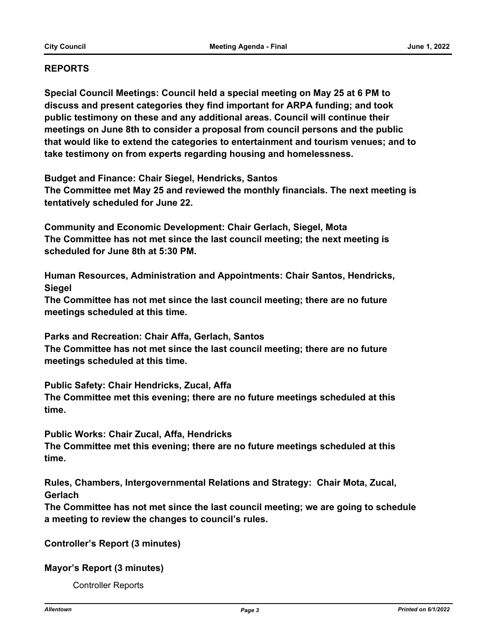# **REPORTS**

**Special Council Meetings: Council held a special meeting on May 25 at 6 PM to discuss and present categories they find important for ARPA funding; and took public testimony on these and any additional areas. Council will continue their meetings on June 8th to consider a proposal from council persons and the public that would like to extend the categories to entertainment and tourism venues; and to take testimony on from experts regarding housing and homelessness.** 

**Budget and Finance: Chair Siegel, Hendricks, Santos**

**The Committee met May 25 and reviewed the monthly financials. The next meeting is tentatively scheduled for June 22.**

**Community and Economic Development: Chair Gerlach, Siegel, Mota The Committee has not met since the last council meeting; the next meeting is scheduled for June 8th at 5:30 PM.**

**Human Resources, Administration and Appointments: Chair Santos, Hendricks, Siegel**

**The Committee has not met since the last council meeting; there are no future meetings scheduled at this time.** 

**Parks and Recreation: Chair Affa, Gerlach, Santos**

**The Committee has not met since the last council meeting; there are no future meetings scheduled at this time.**

**Public Safety: Chair Hendricks, Zucal, Affa** 

**The Committee met this evening; there are no future meetings scheduled at this time.** 

**Public Works: Chair Zucal, Affa, Hendricks** 

**The Committee met this evening; there are no future meetings scheduled at this time.** 

**Rules, Chambers, Intergovernmental Relations and Strategy: Chair Mota, Zucal, Gerlach** 

**The Committee has not met since the last council meeting; we are going to schedule a meeting to review the changes to council's rules.** 

**Controller's Report (3 minutes)**

**Mayor's Report (3 minutes)**

Controller Reports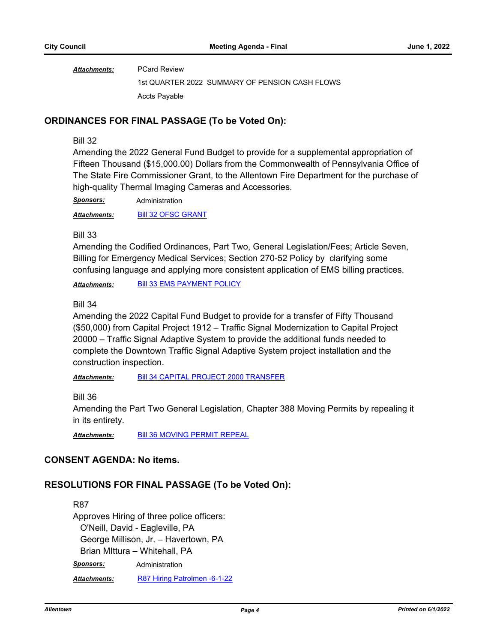PCard Review *Attachments:*

1st QUARTER 2022 SUMMARY OF PENSION CASH FLOWS Accts Payable

## **ORDINANCES FOR FINAL PASSAGE (To be Voted On):**

#### Bill 32

Amending the 2022 General Fund Budget to provide for a supplemental appropriation of Fifteen Thousand (\$15,000.00) Dollars from the Commonwealth of Pennsylvania Office of The State Fire Commissioner Grant, to the Allentown Fire Department for the purchase of high-quality Thermal Imaging Cameras and Accessories.

*Sponsors:* Administration

*Attachments:* [Bill 32 OFSC GRANT](http://allentownpa.legistar.com/gateway.aspx?M=F&ID=d3da193b-a083-4002-b5dc-669f3606625e.docx)

#### Bill 33

Amending the Codified Ordinances, Part Two, General Legislation/Fees; Article Seven, Billing for Emergency Medical Services; Section 270-52 Policy by clarifying some confusing language and applying more consistent application of EMS billing practices.

*Attachments:* [Bill 33 EMS PAYMENT POLICY](http://allentownpa.legistar.com/gateway.aspx?M=F&ID=7833690b-e648-4b2b-8574-9151d915816c.doc)

#### Bill 34

Amending the 2022 Capital Fund Budget to provide for a transfer of Fifty Thousand (\$50,000) from Capital Project 1912 – Traffic Signal Modernization to Capital Project 20000 – Traffic Signal Adaptive System to provide the additional funds needed to complete the Downtown Traffic Signal Adaptive System project installation and the construction inspection.

*Attachments:* [Bill 34 CAPITAL PROJECT 2000 TRANSFER](http://allentownpa.legistar.com/gateway.aspx?M=F&ID=89de950a-0746-431e-97a1-dc2a8ff3c62c.doc)

Bill 36

Amending the Part Two General Legislation, Chapter 388 Moving Permits by repealing it in its entirety.

*Attachments:* [Bill 36 MOVING PERMIT REPEAL](http://allentownpa.legistar.com/gateway.aspx?M=F&ID=2c178ab1-5608-4626-b8ca-e289371333c8.doc)

#### **CONSENT AGENDA: No items.**

# **RESOLUTIONS FOR FINAL PASSAGE (To be Voted On):**

# R87

Approves Hiring of three police officers: O'Neill, David - Eagleville, PA George Millison, Jr. – Havertown, PA Brian MIttura – Whitehall, PA *Sponsors:* Administration

*Attachments:* [R87 Hiring Patrolmen -6-1-22](http://allentownpa.legistar.com/gateway.aspx?M=F&ID=42991f5b-510b-4fe0-a7d6-67610e100f68.docx)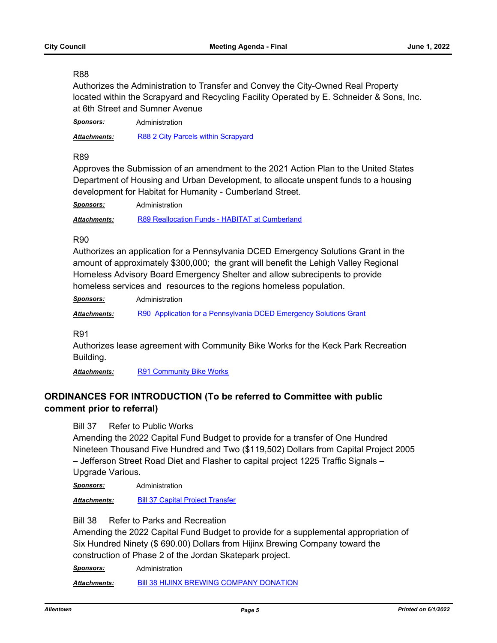#### R88

Authorizes the Administration to Transfer and Convey the City-Owned Real Property located within the Scrapyard and Recycling Facility Operated by E. Schneider & Sons, Inc. at 6th Street and Sumner Avenue

*Sponsors:* Administration

*Attachments:* [R88 2 City Parcels within Scrapyard](http://allentownpa.legistar.com/gateway.aspx?M=F&ID=816a5702-b083-479f-a0be-3f8fc65cc0d8.doc)

#### R89

Approves the Submission of an amendment to the 2021 Action Plan to the United States Department of Housing and Urban Development, to allocate unspent funds to a housing development for Habitat for Humanity - Cumberland Street.

| <b>Sponsors:</b>    | Administration                                 |
|---------------------|------------------------------------------------|
| <b>Attachments:</b> | R89 Reallocation Funds - HABITAT at Cumberland |

#### R90

Authorizes an application for a Pennsylvania DCED Emergency Solutions Grant in the amount of approximately \$300,000; the grant will benefit the Lehigh Valley Regional Homeless Advisory Board Emergency Shelter and allow subrecipents to provide homeless services and resources to the regions homeless population.

*Sponsors:* Administration

*Attachments:* [R90 Application for a Pennsylvania DCED Emergency Solutions Grant](http://allentownpa.legistar.com/gateway.aspx?M=F&ID=5f426352-a6f7-4ab4-8ef1-f3661c7dbc3e.docx)

R91

Authorizes lease agreement with Community Bike Works for the Keck Park Recreation Building.

Attachments: [R91 Community Bike Works](http://allentownpa.legistar.com/gateway.aspx?M=F&ID=dd8b93c8-3cea-4404-97a2-4ff7adef5e8a.doc)

# **ORDINANCES FOR INTRODUCTION (To be referred to Committee with public comment prior to referral)**

Bill 37 Refer to Public Works

Amending the 2022 Capital Fund Budget to provide for a transfer of One Hundred Nineteen Thousand Five Hundred and Two (\$119,502) Dollars from Capital Project 2005 – Jefferson Street Road Diet and Flasher to capital project 1225 Traffic Signals – Upgrade Various.

*Sponsors:* Administration

*Attachments:* [Bill 37 Capital Project Transfer](http://allentownpa.legistar.com/gateway.aspx?M=F&ID=d359fd63-833a-4bf4-81df-c6d98aa005ee.doc)

Bill 38 Refer to Parks and Recreation

Amending the 2022 Capital Fund Budget to provide for a supplemental appropriation of Six Hundred Ninety (\$ 690.00) Dollars from Hijinx Brewing Company toward the construction of Phase 2 of the Jordan Skatepark project.

*Sponsors:* Administration

*Attachments:* [Bill 38 HIJINX BREWING COMPANY DONATION](http://allentownpa.legistar.com/gateway.aspx?M=F&ID=f87278ca-e74e-4f78-a02f-0c0cf5576905.rtf)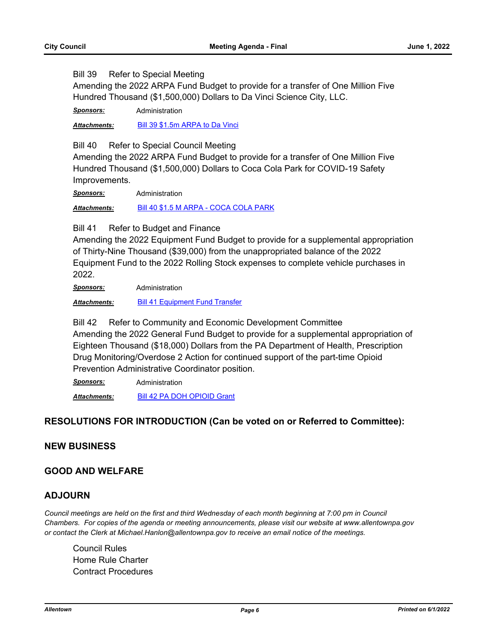Bill 39 Refer to Special Meeting

Amending the 2022 ARPA Fund Budget to provide for a transfer of One Million Five Hundred Thousand (\$1,500,000) Dollars to Da Vinci Science City, LLC.

*Sponsors:* Administration

*Attachments:* [Bill 39 \\$1.5m ARPA to Da Vinci](http://allentownpa.legistar.com/gateway.aspx?M=F&ID=ea963b67-91a2-403e-8352-fa6c5f824137.doc)

Bill 40 Refer to Special Council Meeting

Amending the 2022 ARPA Fund Budget to provide for a transfer of One Million Five Hundred Thousand (\$1,500,000) Dollars to Coca Cola Park for COVID-19 Safety Improvements.

*Sponsors:* Administration

*Attachments:* [Bill 40 \\$1.5 M ARPA - COCA COLA PARK](http://allentownpa.legistar.com/gateway.aspx?M=F&ID=de82e62f-90f6-416c-8561-d904afddbf62.doc)

Bill 41 Refer to Budget and Finance

Amending the 2022 Equipment Fund Budget to provide for a supplemental appropriation of Thirty-Nine Thousand (\$39,000) from the unappropriated balance of the 2022 Equipment Fund to the 2022 Rolling Stock expenses to complete vehicle purchases in 2022.

*Sponsors:* Administration

*Attachments:* [Bill 41 Equipment Fund Transfer](http://allentownpa.legistar.com/gateway.aspx?M=F&ID=c426fa3a-cb1d-4260-b8af-914b482c4413.doc)

Bill 42 Refer to Community and Economic Development Committee Amending the 2022 General Fund Budget to provide for a supplemental appropriation of Eighteen Thousand (\$18,000) Dollars from the PA Department of Health, Prescription Drug Monitoring/Overdose 2 Action for continued support of the part-time Opioid Prevention Administrative Coordinator position.

*Sponsors:* Administration

*Attachments:* [Bill 42 PA DOH OPIOID Grant](http://allentownpa.legistar.com/gateway.aspx?M=F&ID=15634d37-d814-42b2-bf57-85ec790ee1ab.docx)

# **RESOLUTIONS FOR INTRODUCTION (Can be voted on or Referred to Committee):**

#### **NEW BUSINESS**

#### **GOOD AND WELFARE**

#### **ADJOURN**

*Council meetings are held on the first and third Wednesday of each month beginning at 7:00 pm in Council Chambers. For copies of the agenda or meeting announcements, please visit our website at www.allentownpa.gov or contact the Clerk at Michael.Hanlon@allentownpa.gov to receive an email notice of the meetings.*

Council Rules Home Rule Charter Contract Procedures